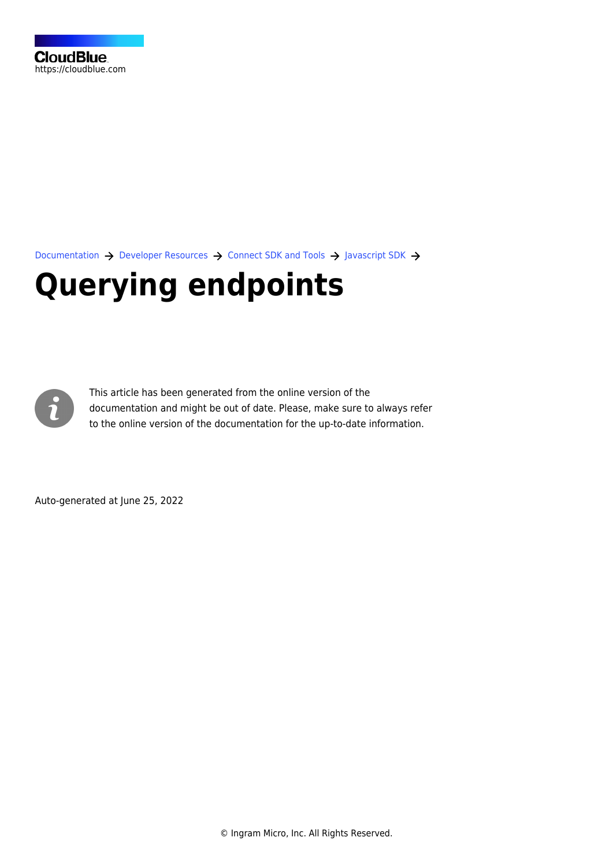[Documentation](https://connect.cloudblue.com/documentation)  $\rightarrow$  [Developer Resources](https://connect.cloudblue.com/community/developers/)  $\rightarrow$  [Connect SDK and Tools](https://connect.cloudblue.com/community/developers/sdk/)  $\rightarrow$  [Javascript SDK](https://connect.cloudblue.com/community/developers/sdk/javascript-sdk/)  $\rightarrow$ 

# **[Querying endpoints](https://connect.cloudblue.com/community/developers/sdk/javascript-sdk/querying-endpoints/)**



This article has been generated from the online version of the documentation and might be out of date. Please, make sure to always refer to the online version of the documentation for the up-to-date information.

Auto-generated at June 25, 2022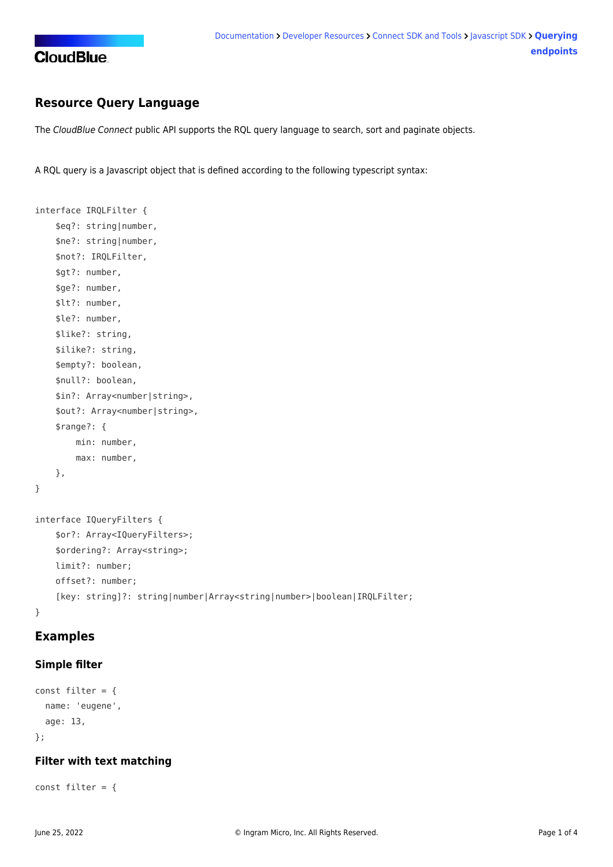

# **Resource Query Language**

The CloudBlue Connect public API supports the RQL query language to search, sort and paginate objects.

A RQL query is a Javascript object that is defined according to the following typescript syntax:

```
interface IRQLFilter {
     $eq?: string|number,
     $ne?: string|number,
     $not?: IRQLFilter,
     $gt?: number,
     $ge?: number,
     $lt?: number,
     $le?: number,
     $like?: string,
     $ilike?: string,
     $empty?: boolean,
     $null?: boolean,
     $in?: Array<number|string>,
     $out?: Array<number|string>,
     $range?: {
         min: number,
         max: number,
     },
}
interface IQueryFilters {
     $or?: Array<IQueryFilters>;
     $ordering?: Array<string>;
     limit?: number;
     offset?: number;
     [key: string]?: string|number|Array<string|number>|boolean|IRQLFilter;
}
```
# **Examples**

#### **Simple filter**

```
const filter = {
   name: 'eugene',
   age: 13,
};
```
#### **Filter with text matching**

```
const filter = {
```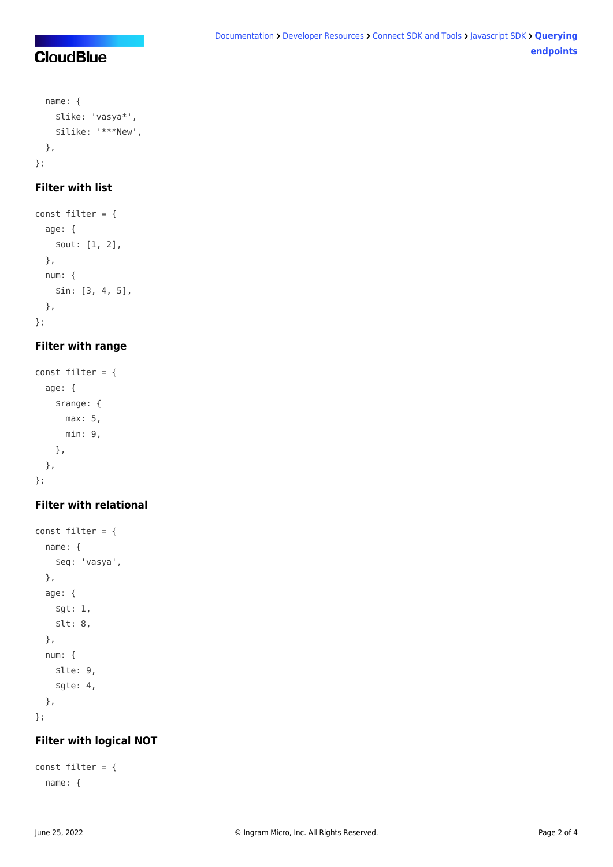# **CloudBlue**

```
 name: {
     $like: 'vasya*',
     $ilike: '***New',
  },
};
```
# **Filter with list**

```
const filter = \{ age: {
     $out: [1, 2],
  },
  num: {
     $in: [3, 4, 5],
   },
};
```
## **Filter with range**

```
const filter = {
   age: {
     $range: {
       max: 5,
       min: 9,
     },
  },
};
```
# **Filter with relational**

```
const filter = \{ name: {
     $eq: 'vasya',
   },
   age: {
     $gt: 1,
     $lt: 8,
  },
   num: {
     $lte: 9,
     $gte: 4,
  },
};
```
### **Filter with logical NOT**

```
const filter = {
   name: {
```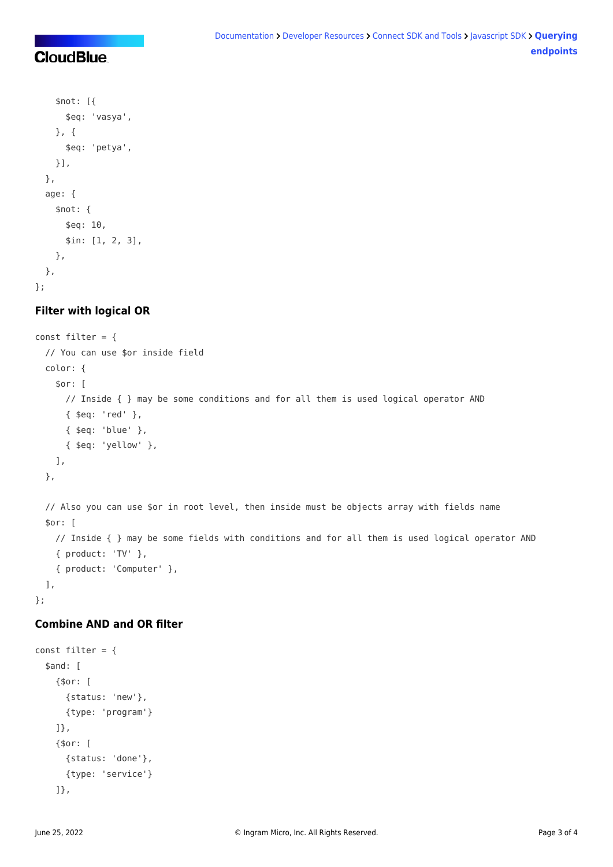# **CloudBlue**

```
 $not: [{
       $eq: 'vasya',
     }, {
       $eq: 'petya',
     }],
   },
   age: {
     $not: {
       $eq: 10,
      $in: [1, 2, 3],
     },
   },
};
```
## **Filter with logical OR**

```
const filter = \{ // You can use $or inside field
   color: {
     $or: [
       // Inside { } may be some conditions and for all them is used logical operator AND
       { $eq: 'red' },
       { $eq: 'blue' },
       { $eq: 'yellow' },
    ],
  },
  // Also you can use $or in root level, then inside must be objects array with fields name
   $or: [
    // Inside { } may be some fields with conditions and for all them is used logical operator AND
     { product: 'TV' },
     { product: 'Computer' },
   ],
};
```
### **Combine AND and OR filter**

```
const filter = \{ $and: [
     {$or: [
       {status: 'new'},
       {type: 'program'}
     ]},
     {$or: [
      {status: 'done'},
       {type: 'service'}
     ]},
```